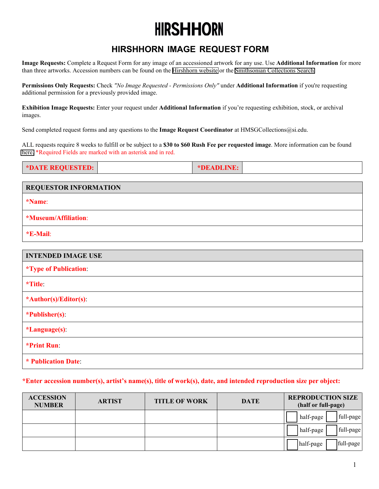### **HIRSHHORN**

#### **HIRSHHORN IMAGE REQUEST FORM**

**Image Requests:** Complete a Request Form for any image of an accessioned artwork for any use. Use **Additional Information** for more than three artworks. Accession numbers can be found on the [Hirshhorn website](https://hirshhorn.si.edu/) or the [Smithsonian Collections Search.](https://collections.si.edu/search/)

**Permissions Only Requests:** Check *"No Image Requested - Permissions Only"* under **Additional Information** if you're requesting additional permission for a previously provided image.

**Exhibition Image Requests:** Enter your request under Additional Information if you're requesting exhibition, stock, or archival images.

Send completed request forms and any questions to the **Image Request Coordinator** at HMSGCollections@si.edu.

ALL requests require 8 weeks to fulfill or be subject to a **\$30 to \$60 Rush Fee per requested image**. More information can be found [here.](https://hirshhorn.si.edu/explore/rights-and-reproductions/) \*Required Fields are marked with an asterisk and in red.

| *DATE REQUESTED: | *DEADLINE: |  |
|------------------|------------|--|

| REQUESTOR INFORMATION        |  |  |
|------------------------------|--|--|
| <i>*Name:</i>                |  |  |
| *Museum/Affiliation:         |  |  |
| *E-Mail:                     |  |  |
|                              |  |  |
| <b>INTENDED IMAGE USE</b>    |  |  |
| <i>*Type of Publication:</i> |  |  |
| *Title:                      |  |  |
| *Author(s)/Editor(s):        |  |  |
| *Publisher(s):               |  |  |
| <i>*Language(s):</i>         |  |  |
| *Print Run:                  |  |  |
|                              |  |  |

**\* Publication Date**:

#### **\*Enter accession number(s), artist's name(s), title of work(s), date, and intended reproduction size per object:**

| <b>ACCESSION</b><br><b>NUMBER</b> | <b>ARTIST</b> | <b>TITLE OF WORK</b> | <b>DATE</b> | <b>REPRODUCTION SIZE</b><br>(half or full-page) |
|-----------------------------------|---------------|----------------------|-------------|-------------------------------------------------|
|                                   |               |                      |             | full-page<br>half-page                          |
|                                   |               |                      |             | full-page<br>half-page                          |
|                                   |               |                      |             | full-page<br>half-page                          |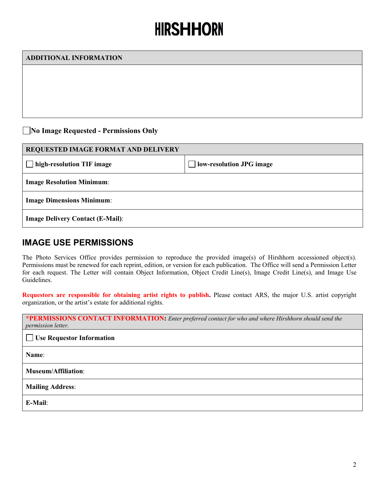# **HIRSHHORN**

| <b>ADDITIONAL INFORMATION</b>           |                          |  |  |  |
|-----------------------------------------|--------------------------|--|--|--|
|                                         |                          |  |  |  |
|                                         |                          |  |  |  |
|                                         |                          |  |  |  |
|                                         |                          |  |  |  |
| No Image Requested - Permissions Only   |                          |  |  |  |
| REQUESTED IMAGE FORMAT AND DELIVERY     |                          |  |  |  |
| high-resolution TIF image               | low-resolution JPG image |  |  |  |
| <b>Image Resolution Minimum:</b>        |                          |  |  |  |
| <b>Image Dimensions Minimum:</b>        |                          |  |  |  |
| <b>Image Delivery Contact (E-Mail):</b> |                          |  |  |  |

#### **IMAGE USE PERMISSIONS**

The Photo Services Office provides permission to reproduce the provided image(s) of Hirshhorn accessioned object(s). Permissions must be renewed for each reprint, edition, or version for each publication. The Office will send a Permission Letter for each request. The Letter will contain Object Information, Object Credit Line(s), Image Credit Line(s), and Image Use Guidelines.

**Requestors are responsible for obtaining artist rights to publish.** Please contact ARS, the major U.S. artist copyright organization, or the artist's estate for additional rights.

| *PERMISSIONS CONTACT INFORMATION: Enter preferred contact for who and where Hirshhorn should send the<br>permission letter. |
|-----------------------------------------------------------------------------------------------------------------------------|
| $\Box$ Use Requestor Information                                                                                            |
| Name:                                                                                                                       |
| <b>Museum/Affiliation:</b>                                                                                                  |
| <b>Mailing Address:</b>                                                                                                     |
| E-Mail:                                                                                                                     |
|                                                                                                                             |